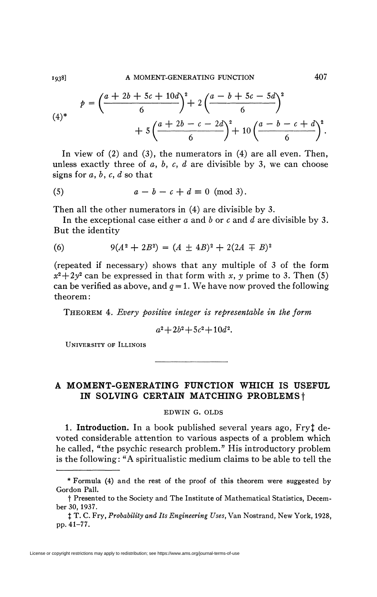$$
p = \left(\frac{a+2b+5c+10d}{6}\right)^2 + 2\left(\frac{a-b+5c-5d}{6}\right)^2 + 5\left(\frac{a+2b-c-2d}{6}\right)^2 + 10\left(\frac{a-b-c+d}{6}\right)^2.
$$

In view of (2) and (3), the numerators in (4) are all even. Then, unless exactly three of *a, b, c, d* are divisible by 3, we can choose signs for *a, b, c, d'so* that

$$
(5) \t a - b - c + d \equiv 0 \pmod{3}.
$$

Then all the other numerators in (4) are divisible by 3.

In the exceptional case either *a* and *b* or *c* and *d* are divisible by 3. But the identity

(6) 
$$
9(A^2 + 2B^2) = (A \pm 4B)^2 + 2(2A \mp B)^2
$$

(repeated if necessary) shows that any multiple of 3 of the form  $x^2 + 2y^2$  can be expressed in that form with *x*, *y* prime to 3. Then (5) can be verified as above, and  $q = 1$ . We have now proved the following theorem :

THEOREM 4. *Every positive integer is representable in the form* 

$$
a^2 + 2b^2 + 5c^2 + 10d^2.
$$

UNIVERSITY OF ILLINOIS

## **A MOMENT-GENERATING FUNCTION WHICH IS USEFUL IN SOLVING CERTAIN MATCHING PROBLEMS** f

## EDWIN G. OLDS

1. **Introduction.** In a book published several years ago, Fry<sup>†</sup> devoted considerable attention to various aspects of a problem which he called, "the psychic research problem." His introductory problem is the following: "A spiritualistic medium claims to be able to tell the

License or copyright restrictions may apply to redistribution; see https://www.ams.org/journal-terms-of-use

<sup>\*</sup> Formula (4) and the rest of the proof of this theorem were suggested by Gordon Pall.

t Presented to the Society and The Institute of Mathematical Statistics, December 30, 1937.

*<sup>%</sup>* T. C. Fry, *Probability and Its Engineering Uses,* Van Nostrand, New York, 1928, pp. 41-77.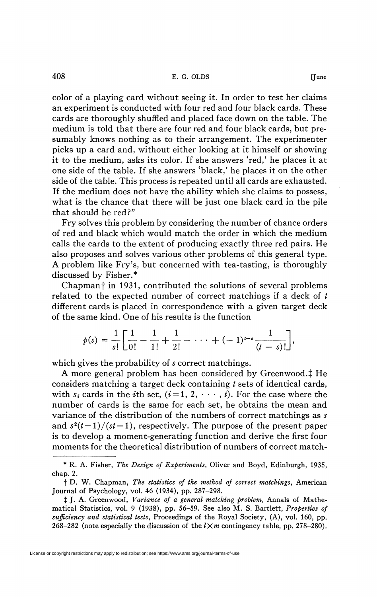color of a playing card without seeing it. In order to test her claims an experiment is conducted with four red and four black cards. These cards are thoroughly shuffled and placed face down on the table. The medium is told that there are four red and four black cards, but presumably knows nothing as to their arrangement. The experimenter picks up a card and, without either looking at it himself or showing it to the medium, asks its color. If she answers 'red,' he places it at one side of the table. If she answers 'black,' he places it on the other side of the table. This process is repeated until all cards are exhausted. If the medium does not have the ability which she claims to possess, what is the chance that there will be just one black card in the pile that should be red?"

Fry solves this problem by considering the number of chance orders of red and black which would match the order in which the medium calls the cards to the extent of producing exactly three red pairs. He also proposes and solves various other problems of this general type. A problem like Fry's, but concerned with tea-tasting, is thoroughly discussed by Fisher.\*

Chapman f in 1931, contributed the solutions of several problems related to the expected number of correct matchings if a deck of  $t$ different cards is placed in correspondence with a given target deck of the same kind. One of his results is the function

$$
p(s) = \frac{1}{s!} \left[ \frac{1}{0!} - \frac{1}{1!} + \frac{1}{2!} - \cdots + (-1)^{t-s} \frac{1}{(t-s)!} \right],
$$

which gives the probability of *s* correct matchings.

A more general problem has been considered by Greenwood. $\ddagger$  He considers matching a target deck containing *t* sets of identical cards, with  $s_i$  cards in the *i*th set,  $(i=1, 2, \dots, t)$ . For the case where the number of cards is the same for each set, he obtains the mean and variance of the distribution of the numbers of correct matchings as s and  $s^2(t-1)/(st-1)$ , respectively. The purpose of the present paper is to develop a moment-generating function and derive the first four moments for the theoretical distribution of numbers of correct match-

License or copyright restrictions may apply to redistribution; see https://www.ams.org/journal-terms-of-use

<sup>\*</sup> R. A. Fisher, *The Design of Experiments,* Oliver and Boyd, Edinburgh, 1935, chap. 2.

f D. W. Chapman, *The statistics of the method of correct matchings,* American Journal of Psychology, vol. 46 (1934), pp. 287-298.

<sup>|</sup> J. A. Greenwood, *Variance of a general matching problem,* Annals of Mathematical Statistics, vol. 9 (1938), pp. 56-59. See also M. S. Bartlett, *Properties of sufficiency and statistical tests,* Proceedings of the Royal Society, (A), vol. 160, pp. 268-282 (note especially the discussion of the  $l \times m$  contingency table, pp. 278-280).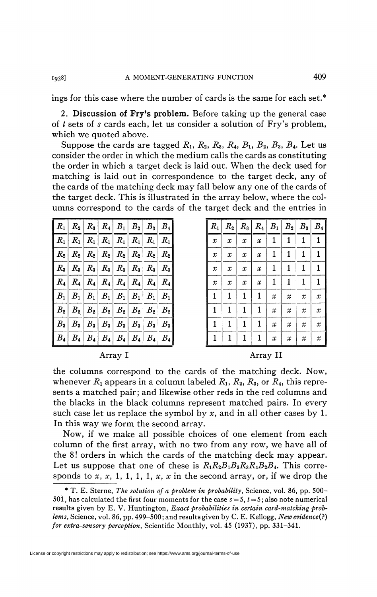ings for this case where the number of cards is the same for each set.\*

2. Discussion of Fry's problem. Before taking up the general case of  $t$  sets of  $s$  cards each, let us consider a solution of Fry's problem, which we quoted above.

Suppose the cards are tagged  $R_1$ ,  $R_2$ ,  $R_3$ ,  $R_4$ ,  $B_1$ ,  $B_2$ ,  $B_3$ ,  $B_4$ . Let us consider the order in which the medium calls the cards as constituting the order in which a target deck is laid out. When the deck used for matching is laid out in correspondence to the target deck, any of the cards of the matching deck may fall below any one of the cards of the target deck. This is illustrated in the array below, where the columns correspond to the cards of the target deck and the entries in

| $R_1   R_2   R_3   R_4   B_1   B_2   B_3   B_4$                                                        |  |                                                                                                                                                                                                                                                                                                                                                                                                              |  |  |
|--------------------------------------------------------------------------------------------------------|--|--------------------------------------------------------------------------------------------------------------------------------------------------------------------------------------------------------------------------------------------------------------------------------------------------------------------------------------------------------------------------------------------------------------|--|--|
| $R_1   R_1   R_1   R_1   R_1   R_1   R_1   R_1$                                                        |  |                                                                                                                                                                                                                                                                                                                                                                                                              |  |  |
| $R_{2} R_{2} R_{2} R_{2} R_{2} R_{2} R_{2} R_{2} R_{2}$                                                |  |                                                                                                                                                                                                                                                                                                                                                                                                              |  |  |
|                                                                                                        |  | $R_3   R_3   R_3   R_3   R_3   R_3   R_3   R_3$                                                                                                                                                                                                                                                                                                                                                              |  |  |
|                                                                                                        |  | $R_4   R_4   R_4   R_4   R_4   R_4   R_4   R_4$                                                                                                                                                                                                                                                                                                                                                              |  |  |
|                                                                                                        |  | $\left \,B_{1}\,\right \,B_{1}\left \,B_{1}\,\right \,B_{1}\left \,B_{1}\,\right \,B_{1}\left \,B_{1}\,\right \,B_{1}$                                                                                                                                                                                                                                                                                       |  |  |
|                                                                                                        |  | $\big  \begin{array}{c c c c c} B_2 & B_2 & B_2 & B_2 & B_2 & B_2 \ \end{array} \big  \begin{array}{c c c c} B_2 & B_2 & B_2 \ \end{array} \big  \begin{array}{c c c c} B_2 & B_2 & B_2 \ \end{array} \big  \begin{array}{c c c c} B_2 & B_2 & B_2 \ \end{array} \big  \begin{array}{c c c c} B_2 & B_2 & B_2 \ \end{array} \big  \begin{array}{c c c c} B_2 & B_2 & B_2 \ \end{array} \big  \begin{array}{$ |  |  |
| $\mid B_3 \mid B_3 \mid B_3 \mid B_3 \mid B_3 \mid B_3 \mid B_3 \mid B_3$                              |  |                                                                                                                                                                                                                                                                                                                                                                                                              |  |  |
| $\big  B_4 \big  \, B_4 \big  \, B_4 \big  \, B_4 \big  \, B_4 \big  \, B_4 \big  \, B_4 \big  \, B_4$ |  |                                                                                                                                                                                                                                                                                                                                                                                                              |  |  |

1938]

| $R_1$         | $R_{2}$                    | $R_3$         | $R_4$         | $B_1$                      | $B_{2}$                    | $B_3$            | $\boldsymbol{B_4}$         |
|---------------|----------------------------|---------------|---------------|----------------------------|----------------------------|------------------|----------------------------|
| $\mathcal{X}$ | $\mathcal{X}$              | $\mathcal{X}$ | $\mathcal X$  | 1                          | 1                          | 1                | 1                          |
| $\mathcal{X}$ | $\mathcal{X}$              | $\mathcal{X}$ | $\mathcal{X}$ | 1                          | 1                          | 1                | 1                          |
| $\mathcal X$  | $\boldsymbol{\mathcal{X}}$ | $\mathcal{X}$ | $\mathcal{X}$ | $\mathbf{1}$               | $\mathbf{1}$               | 1                | 1                          |
| $\mathcal X$  | $\mathcal{X}$              | $\mathcal X$  | $\mathcal X$  | $\mathbf{1}$               | $\mathbf{1}$               | $\mathbf{1}$     | 1                          |
| $\mathbf{1}$  | $\mathbf{1}$               | 1             | 1             | $\mathcal{X}$              | $\mathcal{X}$              | $\mathcal{X}$    | $\boldsymbol{\mathcal{X}}$ |
| 1             | $\mathbf{1}$               | 1             | 1             | $\mathcal{X}$              | $\mathcal{X}$              | $\boldsymbol{x}$ | $\boldsymbol{\mathcal{X}}$ |
| 1             | 1                          | 1             | $\mathbf{1}$  | $\mathcal{X}$              | $\mathcal{X}$              | $\mathcal{X}$    | $\mathcal{X}$              |
| $\mathbf{1}$  | 1                          | 1             | 1             | $\boldsymbol{\mathcal{X}}$ | $\boldsymbol{\mathcal{X}}$ | $\mathcal{X}$    | $\mathcal{X}$              |

Array I

Array II

the columns correspond to the cards of the matching deck. Now, whenever  $R_1$  appears in a column labeled  $R_1$ ,  $R_2$ ,  $R_3$ , or  $R_4$ , this represents a matched pair; and likewise other reds in the red columns and the blacks in the black columns represent matched pairs. In every such case let us replace the symbol by x, and in all other cases by 1. In this way we form the second array.

Now, if we make all possible choices of one element from each column of the first array, with no two from any row, we have all of the 8! orders in which the cards of the matching deck may appear. Let us suppose that one of these is  $R_1R_2B_1B_3R_4R_4B_2B_4$ . This corresponds to x, x, 1, 1, 1, 1, x, x in the second array, or, if we drop the

<sup>\*</sup> T. E. Sterne, The solution of a problem in probability, Science, vol. 86, pp. 500– 501, has calculated the first four moments for the case  $s = 5$ ,  $t = 5$ ; also note numerical results given by E. V. Huntington, Exact probabilities in certain card-matching problems, Science, vol. 86, pp. 499–500; and results given by C. E. Kellogg, New evidence(?) for extra-sensory perception, Scientific Monthly, vol. 45 (1937), pp. 331–341.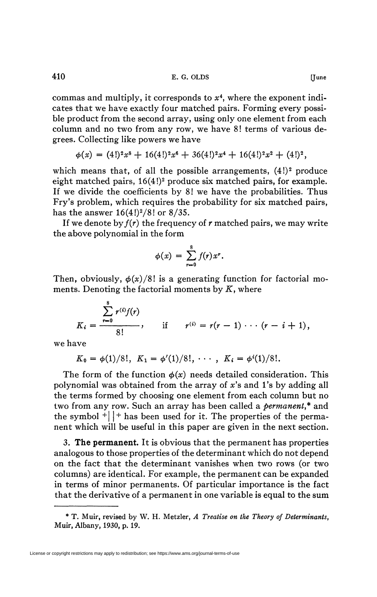commas and multiply, it corresponds to  $x^4$ , where the exponent indicates that we have exactly four matched pairs. Forming every possible product from the second array, using only one element from each column and no two from any row, we have 8! terms of various degrees. Collecting like powers we have

$$
\phi(x) = (4!)^2 x^8 + 16(4!)^2 x^6 + 36(4!)^2 x^4 + 16(4!)^2 x^2 + (4!)^2,
$$

which means that, of all the possible arrangements,  $(4!)^2$  produce eight matched pairs,  $16(4!)^2$  produce six matched pairs, for example. If we divide the coefficients by 8! we have the probabilities. Thus Fry's problem, which requires the probability for six matched pairs, has the answer  $16(4!)^2/8!$  or  $8/35$ .

If we denote by  $f(r)$  the frequency of r matched pairs, we may write the above polynomial in the form

$$
\phi(x) = \sum_{r=0}^8 f(r) x^r.
$$

Then, obviously,  $\phi(x)/8!$  is a generating function for factorial moments. Denoting the factorial moments by  $K$ , where

$$
K_i = \frac{\sum_{r=0}^{8} r^{(i)} f(r)}{8!},
$$
 if  $r^{(i)} = r(r-1) \cdots (r-i+1),$ 

we have

$$
K_0 = \phi(1)/8!, \ K_1 = \phi'(1)/8!, \ \cdots, \ K_i = \phi^{i}(1)/8!.
$$

The form of the function  $\phi(x)$  needs detailed consideration. This polynomial was obtained from the array of *x's* and l's by adding all the terms formed by choosing one element from each column but no two from any row. Such an array has been called a *permanent,\** and the symbol  $+$   $|$  + has been used for it. The properties of the permanent which will be useful in this paper are given in the next section.

3. **The permanent.** It is obvious that the permanent has properties analogous to those properties of the determinant which do not depend on the fact that the determinant vanishes when two rows (or two columns) are identical. For example, the permanent can be expanded in terms of minor permanents. Of particular importance is the fact that the derivative of a permanent in one variable is equal to the sum

<sup>\*</sup> T. Muir, revised by W. H. Metzler, *A Treatise on the Theory of Determinants,*  Muir, Albany, 1930, p. 19.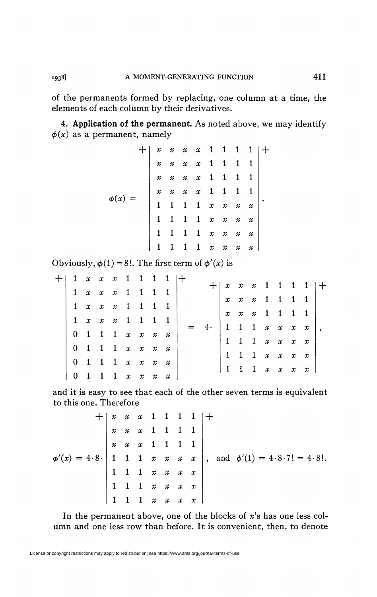of the permanents formed by replacing, one column at a time, the elements of each column by their derivatives.

4. Application of the permanent. As noted above, we may identify  $\phi(x)$  as a permanent, namely

|           |  |                            |             | $\begin{array}{ccccccccccccc} x & x & x & x & 1 & 1 & 1 & 1 \end{array}$                     |                                     |                            |                     |                     |                            |  |
|-----------|--|----------------------------|-------------|----------------------------------------------------------------------------------------------|-------------------------------------|----------------------------|---------------------|---------------------|----------------------------|--|
|           |  | $\boldsymbol{\mathcal{X}}$ |             | $x \quad x \quad x \quad 1 \quad 1 \quad 1 \quad 1$                                          |                                     |                            |                     |                     |                            |  |
|           |  | $\mathcal{X}$              |             | $x \quad x \quad x \quad 1 \quad 1 \quad 1 \quad 1$                                          |                                     |                            |                     |                     |                            |  |
|           |  | $\boldsymbol{\mathcal{X}}$ |             | $\begin{array}{ c cccccccc }\hline x&x&x&1&1&1&1\ \hline 1&1&1&x&x&x&x \ \hline \end{array}$ |                                     |                            |                     |                     |                            |  |
| $\phi(x)$ |  |                            |             |                                                                                              |                                     |                            |                     |                     |                            |  |
|           |  |                            | $1 \quad 1$ | $1 \quad 1 \quad x \quad x \quad x \quad x$                                                  |                                     |                            |                     |                     |                            |  |
|           |  | $\mathbf{1}$               |             | $\mathbf 1$                                                                                  | $1 \quad x \quad x \quad x \quad x$ |                            |                     |                     |                            |  |
|           |  |                            |             |                                                                                              | $\overline{1}$                      | $\boldsymbol{\mathcal{X}}$ | $\pmb{\mathcal{X}}$ | $\pmb{\mathcal{X}}$ | $\boldsymbol{\mathcal{X}}$ |  |

Obviously,  $\phi(1) = 8!$ . The first term of  $\phi'(x)$  is

|  |  |                                                             |  | $1 \quad x \quad x \quad x \quad 1 \quad 1 \quad 1 \quad 1 \  +$ |  |                                                                    |                                                     |  |                                             |  |
|--|--|-------------------------------------------------------------|--|------------------------------------------------------------------|--|--------------------------------------------------------------------|-----------------------------------------------------|--|---------------------------------------------|--|
|  |  |                                                             |  | $1 \times x \times x$ 1 1 1 1                                    |  |                                                                    |                                                     |  | $x \times x$ 1 1 1 1 $\rightarrow$          |  |
|  |  | $1 \quad x \quad x \quad x \quad 1 \quad 1 \quad 1 \quad 1$ |  |                                                                  |  | $\boldsymbol{\mathcal{X}}$                                         |                                                     |  | $x \quad x \quad 1 \quad 1 \quad 1 \quad 1$ |  |
|  |  |                                                             |  |                                                                  |  | $\boldsymbol{\mathcal{X}}$                                         | $x \quad x \quad 1 \quad 1 \quad 1 \quad 1$         |  |                                             |  |
|  |  | $1 \quad x \quad x \quad x \quad 1 \quad 1 \quad 1 \quad 1$ |  |                                                                  |  | $\begin{array}{ccccccccc}\n1 & 1 & 1 & x & x & x & x\n\end{array}$ |                                                     |  |                                             |  |
|  |  | $0$ 1 1 1 $x$ $x$ $x$ $x$                                   |  |                                                                  |  |                                                                    |                                                     |  |                                             |  |
|  |  | $0$ 1 1 1 $x$ $x$ $x$ $x$                                   |  |                                                                  |  |                                                                    | $1 \quad 1 \quad 1 \quad x \quad x \quad x$         |  |                                             |  |
|  |  |                                                             |  |                                                                  |  |                                                                    | $1 \quad 1 \quad 1 \quad x \quad x \quad x \quad x$ |  |                                             |  |
|  |  | $0$ 1 1 1 $x$ $x$ $x$ $x$                                   |  |                                                                  |  | $\begin{array}{ccccccccc}\n1 & 1 & 1 & x & x & x & x\n\end{array}$ |                                                     |  |                                             |  |
|  |  | $1 \quad 1 \quad 1 \quad x \quad x \quad x$                 |  | $\boldsymbol{\mathcal{X}}$                                       |  |                                                                    |                                                     |  |                                             |  |

and it is easy to see that each of the other seven terms is equivalent to this one. Therefore

$$
\phi'(x) = 4 \cdot 8 \cdot \begin{vmatrix} x & x & x & 1 & 1 & 1 & 1 \\ x & x & x & 1 & 1 & 1 & 1 \\ x & x & x & 1 & 1 & 1 & 1 \\ 1 & 1 & 1 & x & x & x & x \\ 1 & 1 & 1 & x & x & x & x \\ 1 & 1 & 1 & x & x & x & x \\ 1 & 1 & 1 & x & x & x & x \end{vmatrix}, \text{ and } \phi'(1) = 4 \cdot 8 \cdot 7! = 4 \cdot 8!.
$$

In the permanent above, one of the blocks of  $x$ 's has one less column and one less row than before. It is convenient, then, to denote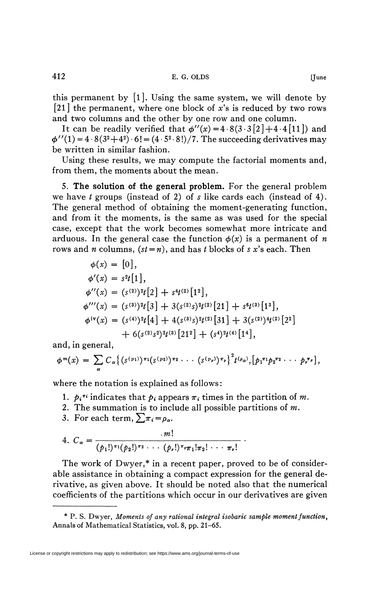this permanent by  $[1]$ . Using the same system, we will denote by [21] the permanent, where one block of *x's* is reduced by two rows and two columns and the other by one row and one column.

It can be readily verified that  $\phi''(x) = 4.8(3.3[2]+4.4[11])$  and  $\phi''(1) = 4.8(3^2+4^2) \cdot 6! = (4.5^2 \cdot 8!) / 7$ . The succeeding derivatives may be written in similar fashion.

Using these results, we may compute the factorial moments and, from them, the moments about the mean.

5. **The solution of the general problem.** For the general problem we have *t* groups (instead of 2) of s like cards each (instead of 4). The general method of obtaining the moment-generating function, and from it the moments, is the same as was used for the special case, except that the work becomes somewhat more intricate and arduous. In the general case the function  $\phi(x)$  is a permanent of *n* rows and *n* columns,  $(st = n)$ , and has *t* blocks of *s* x's each. Then

$$
\phi(x) = [0],
$$
  
\n
$$
\phi'(x) = s^2t[1],
$$
  
\n
$$
\phi''(x) = (s^{(2)})^2t[2] + s^4t^{(2)}[1^2],
$$
  
\n
$$
\phi'''(x) = (s^{(3)})^2t[3] + 3(s^{(2)}s)^2t^{(2)}[21] + s^6t^{(3)}[1^3],
$$
  
\n
$$
\phi^{iv}(x) = (s^{(4)})^2t[4] + 4(s^{(3)}s)^2t^{(2)}[31] + 3(s^{(2)})^4t^{(2)}[2^2] + 6(s^{(2)}s^2)^2t^{(3)}[21^2] + (s^4)^2t^{(4)}[1^4],
$$

and, in general,

$$
\phi^{m}(x) = \sum_{\alpha} C_{\alpha} \left\{ (s^{(p_1)})^{\pi_1} (s^{(p_2)})^{\pi_2} \cdots (s^{(p_{\nu})})^{\pi_{\nu}} \right\}^2 t^{(\rho_{\alpha})}, [\rho_1^{\pi_1} \rho_2^{\pi_2} \cdots \rho_{\nu}^{\pi_{\nu}}],
$$

where the notation is explained as follows :

- 1.  $p_i^{\pi i}$  indicates that  $p_i$  appears  $\pi_i$  times in the partition of m.
- *2.* The summation is to include all possible partitions of m.
- 3. For each term,  $\sum \pi_i = \rho_\alpha$ .

4. 
$$
C_{\alpha} = \frac{m!}{(p_1!)^{\pi_1}(p_2!)^{\pi_2} \cdots (p_{\nu}!)^{\pi_{\nu}} \pi_1! \pi_2! \cdots \pi_{\nu}!}
$$

The work of Dwyer,\* in a recent paper, proved to be of considerable assistance in obtaining a compact expression for the general derivative, as given above. It should be noted also that the numerical coefficients of the partitions which occur in our derivatives are given

<sup>\*</sup> P. S. Dwyer, *Moments of any rational integral isobaric sample moment J'unction*, Annals of Mathematical Statistics, vol. 8, pp. 21-65.